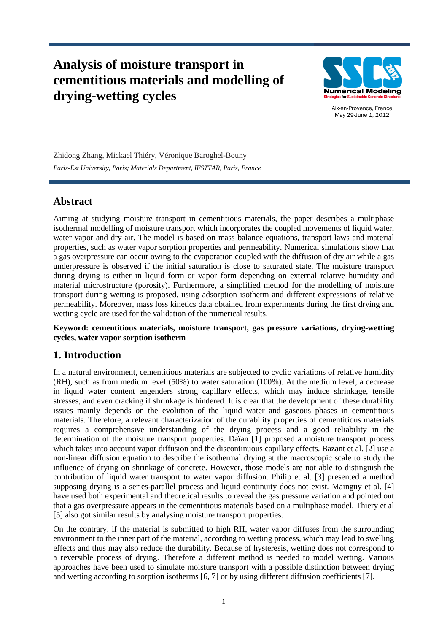# **Analysis of moisture transport in cementitious materials and modelling of drying-wetting cycles**



Aix-en-Provence, France May 29-June 1, 2012

Zhidong Zhang, Mickael Thiéry, Véronique Baroghel-Bouny *Paris-Est University, Paris; Materials Department, IFSTTAR, Paris, France* 

# **Abstract**

Aiming at studying moisture transport in cementitious materials, the paper describes a multiphase isothermal modelling of moisture transport which incorporates the coupled movements of liquid water, water vapor and dry air. The model is based on mass balance equations, transport laws and material properties, such as water vapor sorption properties and permeability. Numerical simulations show that a gas overpressure can occur owing to the evaporation coupled with the diffusion of dry air while a gas underpressure is observed if the initial saturation is close to saturated state. The moisture transport during drying is either in liquid form or vapor form depending on external relative humidity and material microstructure (porosity). Furthermore, a simplified method for the modelling of moisture transport during wetting is proposed, using adsorption isotherm and different expressions of relative permeability. Moreover, mass loss kinetics data obtained from experiments during the first drying and wetting cycle are used for the validation of the numerical results.

#### **Keyword: cementitious materials, moisture transport, gas pressure variations, drying-wetting cycles, water vapor sorption isotherm**

# **1. Introduction**

In a natural environment, cementitious materials are subjected to cyclic variations of relative humidity (RH), such as from medium level (50%) to water saturation (100%). At the medium level, a decrease in liquid water content engenders strong capillary effects, which may induce shrinkage, tensile stresses, and even cracking if shrinkage is hindered. It is clear that the development of these durability issues mainly depends on the evolution of the liquid water and gaseous phases in cementitious materials. Therefore, a relevant characterization of the durability properties of cementitious materials requires a comprehensive understanding of the drying process and a good reliability in the determination of the moisture transport properties. Daïan [1] proposed a moisture transport process which takes into account vapor diffusion and the discontinuous capillary effects. Bazant et al. [2] use a non-linear diffusion equation to describe the isothermal drying at the macroscopic scale to study the influence of drying on shrinkage of concrete. However, those models are not able to distinguish the contribution of liquid water transport to water vapor diffusion. Philip et al. [3] presented a method supposing drying is a series-parallel process and liquid continuity does not exist. Mainguy et al. [4] have used both experimental and theoretical results to reveal the gas pressure variation and pointed out that a gas overpressure appears in the cementitious materials based on a multiphase model. Thiery et al [5] also got similar results by analysing moisture transport properties.

On the contrary, if the material is submitted to high RH, water vapor diffuses from the surrounding environment to the inner part of the material, according to wetting process, which may lead to swelling effects and thus may also reduce the durability. Because of hysteresis, wetting does not correspond to a reversible process of drying. Therefore a different method is needed to model wetting. Various approaches have been used to simulate moisture transport with a possible distinction between drying and wetting according to sorption isotherms [6, 7] or by using different diffusion coefficients [7].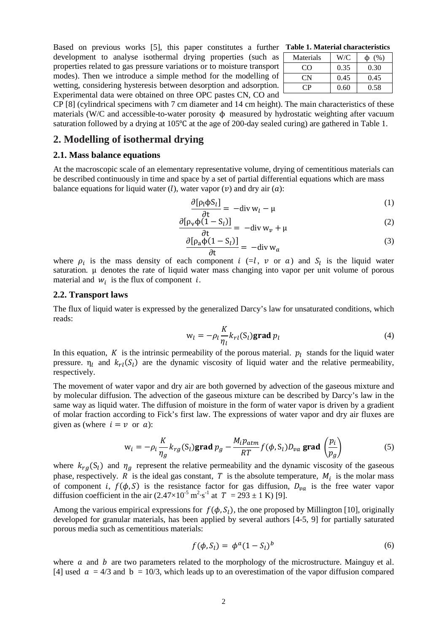Based on previous works [5], this paper constitutes a further development to analyse isothermal drying properties (such as properties related to gas pressure variations or to moisture transport modes). Then we introduce a simple method for the modelling of wetting, considering hysteresis between desorption and adsorption. Experimental data were obtained on three OPC pastes CN, CO and

| Table 1. Material characteristics |  |
|-----------------------------------|--|
|-----------------------------------|--|

| Materials | W/C  | (% )<br>Φ |
|-----------|------|-----------|
| ന         | 0.35 | 0.30      |
| CΝ        | 0.45 | 0.45      |
|           | 0.60 | 0.58      |

CP [8] (cylindrical specimens with 7 cm diameter and 14 cm height). The main characteristics of these materials (W/C and accessible-to-water porosity  $\phi$  measured by hydrostatic weighting after vacuum saturation followed by a drying at 105℃ at the age of 200-day sealed curing) are gathered in Table 1.

#### **2. Modelling of isothermal drying**

#### **2.1. Mass balance equations**

At the macroscopic scale of an elementary representative volume, drying of cementitious materials can be described continuously in time and space by a set of partial differential equations which are mass balance equations for liquid water (*l*), water vapor (*v*) and dry air (*a*):

$$
\frac{\partial [\rho_1 \phi S_l]}{\partial t} = -\text{div} \, w_l - \mu \tag{1}
$$

$$
\frac{\partial [\rho_v \phi(1 - S_l)]}{\partial t} = -\text{div} \, w_v + \mu \tag{2}
$$

$$
\frac{\partial [\rho_a \Phi(1 - S_l)]}{\partial t} = -\text{div} \, w_a \tag{3}
$$

where  $\rho_i$  is the mass density of each component  $i (=l, v \text{ or } a)$  and  $S_l$  is the liquid water saturation. μ denotes the rate of liquid water mass changing into vapor per unit volume of porous material and  $w_i$  is the flux of component *i*.

#### **2.2. Transport laws**

The flux of liquid water is expressed by the generalized Darcy's law for unsaturated conditions, which reads:

$$
w_l = -\rho_l \frac{K}{\eta_l} k_{rl}(S_l) \text{grad } p_l \tag{4}
$$

In this equation, K is the intrinsic permeability of the porous material.  $p_l$  stands for the liquid water pressure.  $\eta_l$  and  $k_{rl}(S_l)$  are the dynamic viscosity of liquid water and the relative permeability, respectively.

The movement of water vapor and dry air are both governed by advection of the gaseous mixture and by molecular diffusion. The advection of the gaseous mixture can be described by Darcy's law in the same way as liquid water. The diffusion of moisture in the form of water vapor is driven by a gradient of molar fraction according to Fick's first law. The expressions of water vapor and dry air fluxes are given as (where  $i = \nu$  or  $a$ ):

$$
w_i = -\rho_i \frac{K}{\eta_g} k_{rg}(S_l) \text{grad } p_g - \frac{M_i p_{atm}}{RT} f(\phi, S_l) D_{va} \text{ grad } \left(\frac{p_i}{p_g}\right)
$$
(5)

where  $k_{rg}(S_l)$  and  $\eta_g$  represent the relative permeability and the dynamic viscosity of the gaseous phase, respectively. R is the ideal gas constant, T is the absolute temperature,  $M_i$  is the molar mass of component i,  $f(\phi, S)$  is the resistance factor for gas diffusion,  $D_{va}$  is the free water vapor diffusion coefficient in the air  $(2.47 \times 10^{-5} \text{ m}^2 \cdot \text{s}^{-1} \text{ at } T = 293 \pm 1 \text{ K})$  [9].

Among the various empirical expressions for  $f(\phi, S_l)$ , the one proposed by Millington [10], originally developed for granular materials, has been applied by several authors [4-5, 9] for partially saturated porous media such as cementitious materials:

$$
f(\phi, S_l) = \phi^a (1 - S_l)^b \tag{6}
$$

where  $\alpha$  and  $\beta$  are two parameters related to the morphology of the microstructure. Mainguy et al. [4] used  $\alpha = 4/3$  and  $b = 10/3$ , which leads up to an overestimation of the vapor diffusion compared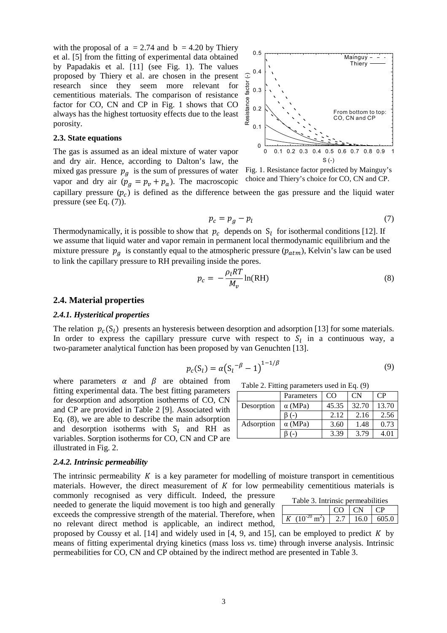with the proposal of  $a = 2.74$  and  $b = 4.20$  by Thiery et al. [5] from the fitting of experimental data obtained by Papadakis et al. [11] (see Fig. 1). The values proposed by Thiery et al. are chosen in the present research since they seem more relevant for cementitious materials. The comparison of resistance factor for CO, CN and CP in Fig. 1 shows that CO always has the highest tortuosity effects due to the least porosity.

#### **2.3. State equations**

The gas is assumed as an ideal mixture of water vapor and dry air. Hence, according to Dalton's law, the mixed gas pressure  $p<sub>g</sub>$  is the sum of pressures of water vapor and dry air  $(p_q = p_v + p_a)$ . The macroscopic



Fig. 1. Resistance factor predicted by Mainguy's choice and Thiery's choice for CO, CN and CP.

capillary pressure  $(p_c)$  is defined as the difference between the gas pressure and the liquid water pressure (see Eq. (7)).

$$
p_c = p_g - p_l \tag{7}
$$

Thermodynamically, it is possible to show that  $p_c$  depends on  $S_l$  for isothermal conditions [12]. If we assume that liquid water and vapor remain in permanent local thermodynamic equilibrium and the mixture pressure  $p_a$  is constantly equal to the atmospheric pressure ( $p_{atm}$ ), Kelvin's law can be used to link the capillary pressure to RH prevailing inside the pores.

$$
p_c = -\frac{\rho_l RT}{M_v} \ln(\text{RH})
$$
\n(8)

#### **2.4. Material properties**

#### *2.4.1. Hysteritical properties*

The relation  $p_c(S_i)$  presents an hysteresis between desorption and adsorption [13] for some materials. In order to express the capillary pressure curve with respect to  $S_l$  in a continuous way, a two-parameter analytical function has been proposed by van Genuchten [13].

$$
p_c(S_l) = \alpha (S_l^{-\beta} - 1)^{1 - 1/\beta}
$$
 (9)

where parameters  $\alpha$  and  $\beta$  are obtained from fitting experimental data. The best fitting parameters for desorption and adsorption isotherms of CO, CN and CP are provided in Table 2 [9]. Associated with Eq. (8), we are able to describe the main adsorption and desorption isotherms with  $S_l$  and RH as variables. Sorption isotherms for CO, CN and CP are illustrated in Fig. 2.

## *2.4.2. Intrinsic permeability*

The intrinsic permeability  $K$  is a key parameter for modelling of moisture transport in cementitious materials. However, the direct measurement of  $K$  for low permeability cementitious materials is

commonly recognised as very difficult. Indeed, the pressure needed to generate the liquid movement is too high and generally exceeds the compressive strength of the material. Therefore, when no relevant direct method is applicable, an indirect method,

proposed by Coussy et al.  $[14]$  and widely used in  $[4, 9, 4]$  and 15], can be employed to predict K by means of fitting experimental drying kinetics (mass loss *vs*. time) through inverse analysis. Intrinsic permeabilities for CO, CN and CP obtained by the indirect method are presented in Table 3.

| Table 2. Fitting parameters used in Eq. (9) |  |  |  |  |  |  |
|---------------------------------------------|--|--|--|--|--|--|
|---------------------------------------------|--|--|--|--|--|--|

 $K(10^{-20} \text{ m}^2)$ 

|            | Parameters     | CO.   | <b>CN</b> | CP    |
|------------|----------------|-------|-----------|-------|
| Desorption | $\alpha$ (MPa) | 45.35 | 32.70     | 13.70 |
|            | $(-)$          | 2.12  | 2.16      | 2.56  |
| Adsorption | $\alpha$ (MPa) | 3.60  | 1.48      | 0.73  |
|            |                | 3.39  | 3.79      | 4.01  |

Table 3. Intrinsic permeabilities

 $CO$   $CN$   $CP$ 

 $2.7 \, | \, 16.0 \, | \, 605.0$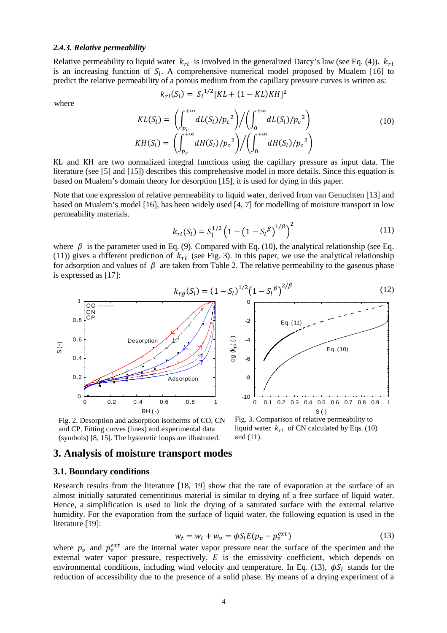#### *2.4.3. Relative permeability*

Relative permeability to liquid water  $k_{rl}$  is involved in the generalized Darcy's law (see Eq. (4)).  $k_{rl}$ is an increasing function of  $S_l$ . A comprehensive numerical model proposed by Mualem [16] to predict the relative permeability of a porous medium from the capillary pressure curves is written as:

where

$$
k_{rl}(S_l) = S_l^{1/2} [KL + (1 - KL)KH]^2
$$

$$
KL(S_l) = \left(\int_{p_c}^{+\infty} dL(S_l)/p_c^2\right) / \left(\int_0^{+\infty} dL(S_l)/p_c^2\right)
$$
  
\n
$$
KH(S_l) = \left(\int_{p_c}^{+\infty} dH(S_l)/p_c^2\right) / \left(\int_0^{+\infty} dH(S_l)/p_c^2\right)
$$
\n(10)

KL and KH are two normalized integral functions using the capillary pressure as input data. The literature (see [5] and [15]) describes this comprehensive model in more details. Since this equation is based on Mualem's domain theory for desorption [15], it is used for dying in this paper.

Note that one expression of relative permeability to liquid water, derived from van Genuchten [13] and based on Mualem's model [16], has been widely used [4, 7] for modelling of moisture transport in low permeability materials.

$$
k_{rl}(S_l) = S_l^{1/2} \left( 1 - \left( 1 - S_l^{\beta} \right)^{1/\beta} \right)^2 \tag{11}
$$

where  $\beta$  is the parameter used in Eq. (9). Compared with Eq. (10), the analytical relationship (see Eq. (11)) gives a different prediction of  $k_{rl}$  (see Fig. 3). In this paper, we use the analytical relationship for adsorption and values of  $\beta$  are taken from Table 2. The relative permeability to the gaseous phase is expressed as [17]:



Fig. 2. Desorption and adsorption isotherms of CO, CN and CP. Fitting curves (lines) and experimental data (symbols) [8, 15]. The hysteretic loops are illustrated.

Fig. 3. Comparison of relative permeability to liquid water  $k_{rl}$  of CN calculated by Eqs. (10) and (11).

#### **3. Analysis of moisture transport modes**

#### **3.1. Boundary conditions**

Research results from the literature [18, 19] show that the rate of evaporation at the surface of an almost initially saturated cementitious material is similar to drying of a free surface of liquid water. Hence, a simplification is used to link the drying of a saturated surface with the external relative humidity. For the evaporation from the surface of liquid water, the following equation is used in the literature [19]:

$$
w_t = w_l + w_v = \phi S_l E(p_v - p_v^{ext})
$$
\n(13)

where  $p_v$  and  $p_v^{ext}$  are the internal water vapor pressure near the surface of the specimen and the external water vapor pressure, respectively.  $E$  is the emissivity coefficient, which depends on environmental conditions, including wind velocity and temperature. In Eq. (13),  $\phi S_l$  stands for the reduction of accessibility due to the presence of a solid phase. By means of a drying experiment of a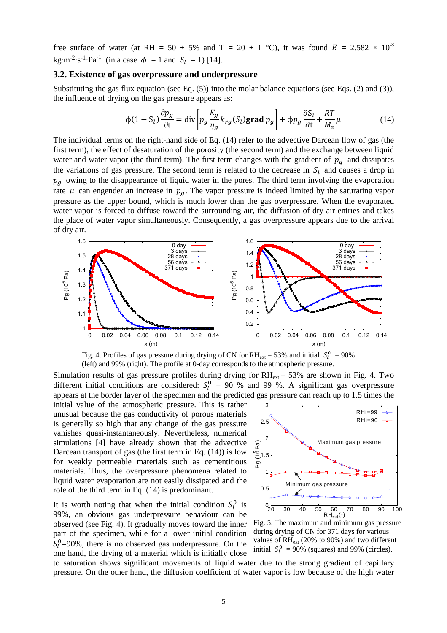free surface of water (at RH = 50  $\pm$  5% and T = 20  $\pm$  1 °C), it was found E = 2.582  $\times$  10<sup>-8</sup> kg·m<sup>-2</sup>·s<sup>-1</sup>·Pa<sup>-1</sup> (in a case  $\phi = 1$  and  $S_l = 1$ ) [14].

#### **3.2. Existence of gas overpressure and underpressure**

Substituting the gas flux equation (see Eq.  $(5)$ ) into the molar balance equations (see Eqs. (2) and (3)), the influence of drying on the gas pressure appears as:

$$
\phi(1 - S_l) \frac{\partial p_g}{\partial t} = \text{div} \left[ p_g \frac{K_g}{\eta_g} k_{rg}(S_l) \text{grad } p_g \right] + \phi p_g \frac{\partial S_l}{\partial t} + \frac{RT}{M_v} \mu \tag{14}
$$

The individual terms on the right-hand side of Eq. (14) refer to the advective Darcean flow of gas (the first term), the effect of desaturation of the porosity (the second term) and the exchange between liquid water and water vapor (the third term). The first term changes with the gradient of  $p_g$  and dissipates the variations of gas pressure. The second term is related to the decrease in  $S_l$  and causes a drop in  $p_a$  owing to the disappearance of liquid water in the pores. The third term involving the evaporation rate  $\mu$  can engender an increase in  $p<sub>q</sub>$ . The vapor pressure is indeed limited by the saturating vapor pressure as the upper bound, which is much lower than the gas overpressure. When the evaporated water vapor is forced to diffuse toward the surrounding air, the diffusion of dry air entries and takes the place of water vapor simultaneously. Consequently, a gas overpressure appears due to the arrival of dry air.



Fig. 4. Profiles of gas pressure during drying of CN for  $RH_{ext} = 53\%$  and initial  $S_l^0 = 90\%$ (left) and 99% (right). The profile at 0-day corresponds to the atmospheric pressure.

Simulation results of gas pressure profiles during drying for  $RH_{ext} = 53\%$  are shown in Fig. 4. Two different initial conditions are considered:  $S_l^0 = 90 %$  and 99%. A significant gas overpressure appears at the border layer of the specimen and the predicted gas pressure can reach up to 1.5 times the

initial value of the atmospheric pressure. This is rather unusual because the gas conductivity of porous materials is generally so high that any change of the gas pressure vanishes quasi-instantaneously. Nevertheless, numerical simulations [4] have already shown that the advective Darcean transport of gas (the first term in Eq. (14)) is low for weakly permeable materials such as cementitious materials. Thus, the overpressure phenomena related to liquid water evaporation are not easily dissipated and the role of the third term in Eq. (14) is predominant.

It is worth noting that when the initial condition  $S_l^0$  is 99%, an obvious gas underpressure behaviour can be observed (see Fig. 4). It gradually moves toward the inner part of the specimen, while for a lower initial condition  $S_l^0$ =90%, there is no observed gas underpressure. On the one hand, the drying of a material which is initially close



Fig. 5. The maximum and minimum gas pressure during drying of CN for 371 days for various values of RHext (20% to 90%) and two different initial  $S_l^0$  = 90% (squares) and 99% (circles).

to saturation shows significant movements of liquid water due to the strong gradient of capillary pressure. On the other hand, the diffusion coefficient of water vapor is low because of the high water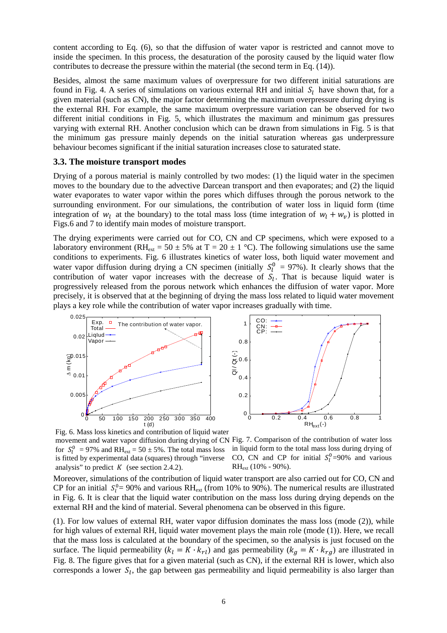content according to Eq. (6), so that the diffusion of water vapor is restricted and cannot move to inside the specimen. In this process, the desaturation of the porosity caused by the liquid water flow contributes to decrease the pressure within the material (the second term in Eq. (14)).

Besides, almost the same maximum values of overpressure for two different initial saturations are found in Fig. 4. A series of simulations on various external RH and initial  $S_l$  have shown that, for a given material (such as CN), the major factor determining the maximum overpressure during drying is the external RH. For example, the same maximum overpressure variation can be observed for two different initial conditions in Fig. 5, which illustrates the maximum and minimum gas pressures varying with external RH. Another conclusion which can be drawn from simulations in Fig. 5 is that the minimum gas pressure mainly depends on the initial saturation whereas gas underpressure behaviour becomes significant if the initial saturation increases close to saturated state.

#### **3.3. The moisture transport modes**

Drying of a porous material is mainly controlled by two modes: (1) the liquid water in the specimen moves to the boundary due to the advective Darcean transport and then evaporates; and (2) the liquid water evaporates to water vapor within the pores which diffuses through the porous network to the surrounding environment. For our simulations, the contribution of water loss in liquid form (time integration of  $w_l$  at the boundary) to the total mass loss (time integration of  $w_l + w_v$ ) is plotted in Figs.6 and 7 to identify main modes of moisture transport.

The drying experiments were carried out for CO, CN and CP specimens, which were exposed to a laboratory environment (RH<sub>ext</sub> = 50  $\pm$  5% at T = 20  $\pm$  1 °C). The following simulations use the same conditions to experiments. Fig. 6 illustrates kinetics of water loss, both liquid water movement and water vapor diffusion during drying a CN specimen (initially  $S_l^0 = 97\%$ ). It clearly shows that the contribution of water vapor increases with the decrease of  $S_l$ . That is because liquid water is progressively released from the porous network which enhances the diffusion of water vapor. More precisely, it is observed that at the beginning of drying the mass loss related to liquid water movement plays a key role while the contribution of water vapor increases gradually with time.





Fig. 6. Mass loss kinetics and contribution of liquid water

for  $S_l^0$  = 97% and RH<sub>ext</sub> = 50 ± 5%. The total mass loss in liquid form to the total mass loss during drying of is fitted by experimental data (squares) through "inverse analysis" to predict  $K$  (see section 2.4.2).

movement and water vapor diffusion during drying of CN Fig. 7. Comparison of the contribution of water loss CO, CN and CP for initial  $S_l^0 = 90\%$  and various  $RH_{ext}$  (10% - 90%).

Moreover, simulations of the contribution of liquid water transport are also carried out for CO, CN and CP for an initial  $S_l^0 = 90\%$  and various RH<sub>ext</sub> (from 10% to 90%). The numerical results are illustrated in Fig. 6. It is clear that the liquid water contribution on the mass loss during drying depends on the external RH and the kind of material. Several phenomena can be observed in this figure.

(1). For low values of external RH, water vapor diffusion dominates the mass loss (mode (2)), while for high values of external RH, liquid water movement plays the main role (mode (1)). Here, we recall that the mass loss is calculated at the boundary of the specimen, so the analysis is just focused on the surface. The liquid permeability  $(k_l = K \cdot k_{rl})$  and gas permeability  $(k_q = K \cdot k_{rd})$  are illustrated in Fig. 8. The figure gives that for a given material (such as CN), if the external RH is lower, which also corresponds a lower  $S_l$ , the gap between gas permeability and liquid permeability is also larger than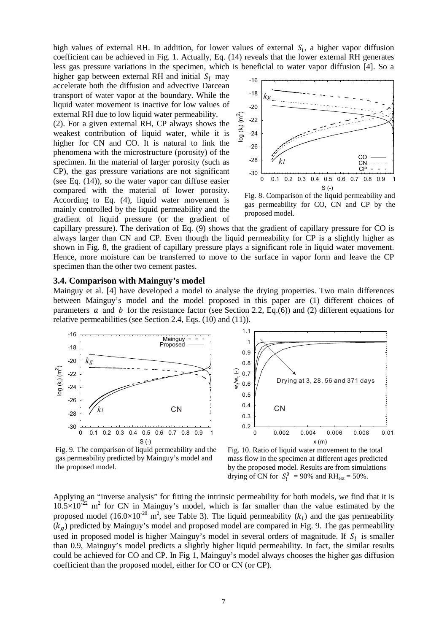high values of external RH. In addition, for lower values of external  $S_l$ , a higher vapor diffusion coefficient can be achieved in Fig. 1. Actually, Eq. (14) reveals that the lower external RH generates less gas pressure variations in the specimen, which is beneficial to water vapor diffusion [4]. So a

higher gap between external RH and initial  $S_l$  may accelerate both the diffusion and advective Darcean transport of water vapor at the boundary. While the liquid water movement is inactive for low values of external RH due to low liquid water permeability.

(2). For a given external RH, CP always shows the weakest contribution of liquid water, while it is higher for CN and CO. It is natural to link the phenomena with the microstructure (porosity) of the specimen. In the material of larger porosity (such as CP), the gas pressure variations are not significant (see Eq. (14)), so the water vapor can diffuse easier compared with the material of lower porosity. According to Eq. (4), liquid water movement is mainly controlled by the liquid permeability and the gradient of liquid pressure (or the gradient of



Fig. 8. Comparison of the liquid permeability and gas permeability for CO, CN and CP by the proposed model.

capillary pressure). The derivation of Eq. (9) shows that the gradient of capillary pressure for CO is always larger than CN and CP. Even though the liquid permeability for CP is a slightly higher as shown in Fig. 8, the gradient of capillary pressure plays a significant role in liquid water movement. Hence, more moisture can be transferred to move to the surface in vapor form and leave the CP specimen than the other two cement pastes.

#### **3.4. Comparison with Mainguy's model**

Mainguy et al. [4] have developed a model to analyse the drying properties. Two main differences between Mainguy's model and the model proposed in this paper are (1) different choices of parameters  $\alpha$  and  $\beta$  for the resistance factor (see Section 2.2, Eq.(6)) and (2) different equations for relative permeabilities (see Section 2.4, Eqs. (10) and (11)).



0.2 0.3 0.4 0.5 0.6 0.7 0.8 0.9 1 1.1 0 0.002 0.004 0.006 0.008 0.01  $w_1/w_t(-)$  $x(m)$ CN Drying at 3, 28, 56 and 371 days

Fig. 9. The comparison of liquid permeability and the gas permeability predicted by Mainguy's model and the proposed model.

Fig. 10. Ratio of liquid water movement to the total mass flow in the specimen at different ages predicted by the proposed model. Results are from simulations drying of CN for  $S_l^0 = 90\%$  and RH<sub>ext</sub> = 50%.

Applying an "inverse analysis" for fitting the intrinsic permeability for both models, we find that it is  $10.5 \times 10^{-22}$  m<sup>2</sup> for CN in Mainguy's model, which is far smaller than the value estimated by the proposed model  $(16.0 \times 10^{-20} \text{ m}^2)$ , see Table 3). The liquid permeability  $(k_l)$  and the gas permeability  $(k_a)$  predicted by Mainguy's model and proposed model are compared in Fig. 9. The gas permeability used in proposed model is higher Mainguy's model in several orders of magnitude. If  $S_l$  is smaller than 0.9, Mainguy's model predicts a slightly higher liquid permeability. In fact, the similar results could be achieved for CO and CP. In Fig 1, Mainguy's model always chooses the higher gas diffusion coefficient than the proposed model, either for CO or CN (or CP).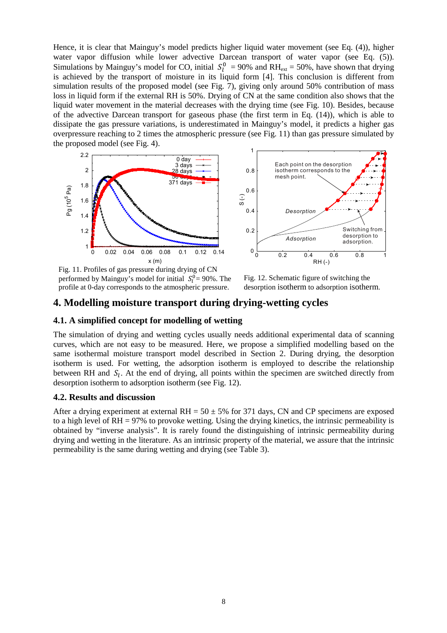Hence, it is clear that Mainguy's model predicts higher liquid water movement (see Eq. (4)), higher water vapor diffusion while lower advective Darcean transport of water vapor (see Eq. (5)). Simulations by Mainguy's model for CO, initial  $S_l^0 = 90\%$  and RH<sub>ext</sub> = 50%, have shown that drying is achieved by the transport of moisture in its liquid form [4]. This conclusion is different from simulation results of the proposed model (see Fig. 7), giving only around 50% contribution of mass loss in liquid form if the external RH is 50%. Drying of CN at the same condition also shows that the liquid water movement in the material decreases with the drying time (see Fig. 10). Besides, because of the advective Darcean transport for gaseous phase (the first term in Eq. (14)), which is able to dissipate the gas pressure variations, is underestimated in Mainguy's model, it predicts a higher gas overpressure reaching to 2 times the atmospheric pressure (see Fig. 11) than gas pressure simulated by the proposed model (see Fig. 4).





Fig. 11. Profiles of gas pressure during drying of CN performed by Mainguy's model for initial  $S_l^0 = 90\%$ . The profile at 0-day corresponds to the atmospheric pressure.

Fig. 12. Schematic figure of switching the desorption isotherm to adsorption isotherm.

# **4. Modelling moisture transport during drying-wetting cycles**

## **4.1. A simplified concept for modelling of wetting**

The simulation of drying and wetting cycles usually needs additional experimental data of scanning curves, which are not easy to be measured. Here, we propose a simplified modelling based on the same isothermal moisture transport model described in Section 2. During drying, the desorption isotherm is used. For wetting, the adsorption isotherm is employed to describe the relationship between RH and  $S_l$ . At the end of drying, all points within the specimen are switched directly from desorption isotherm to adsorption isotherm (see Fig. 12).

## **4.2. Results and discussion**

After a drying experiment at external  $RH = 50 \pm 5\%$  for 371 days, CN and CP specimens are exposed to a high level of RH = 97% to provoke wetting. Using the drying kinetics, the intrinsic permeability is obtained by "inverse analysis". It is rarely found the distinguishing of intrinsic permeability during drying and wetting in the literature. As an intrinsic property of the material, we assure that the intrinsic permeability is the same during wetting and drying (see Table 3).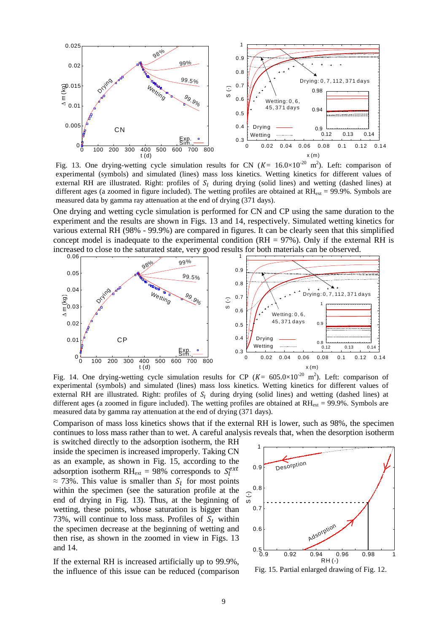

Fig. 13. One drying-wetting cycle simulation results for CN  $(K = 16.0 \times 10^{-20} \text{ m}^2)$ . Left: comparison of experimental (symbols) and simulated (lines) mass loss kinetics. Wetting kinetics for different values of external RH are illustrated. Right: profiles of  $S_l$  during drying (solid lines) and wetting (dashed lines) at different ages (a zoomed in figure included). The wetting profiles are obtained at  $RH_{ext} = 99.9\%$ . Symbols are measured data by gamma ray attenuation at the end of drying (371 days).

One drying and wetting cycle simulation is performed for CN and CP using the same duration to the experiment and the results are shown in Figs. 13 and 14, respectively. Simulated wetting kinetics for various external RH (98% - 99.9%) are compared in figures. It can be clearly seen that this simplified concept model is inadequate to the experimental condition  $(RH = 97\%)$ . Only if the external RH is increased to close to the saturated state, very good results for both materials can be observed.



Fig. 14. One drying-wetting cycle simulation results for CP ( $K = 605.0 \times 10^{-20}$  m<sup>2</sup>). Left: comparison of experimental (symbols) and simulated (lines) mass loss kinetics. Wetting kinetics for different values of external RH are illustrated. Right: profiles of  $S_l$  during drying (solid lines) and wetting (dashed lines) at different ages (a zoomed in figure included). The wetting profiles are obtained at  $RH_{ext} = 99.9\%$ . Symbols are measured data by gamma ray attenuation at the end of drying (371 days).

Comparison of mass loss kinetics shows that if the external RH is lower, such as 98%, the specimen continues to loss mass rather than to wet. A careful analysis reveals that, when the desorption isotherm

is switched directly to the adsorption isotherm, the RH inside the specimen is increased improperly. Taking CN as an example, as shown in Fig. 15, according to the adsorption isotherm RH<sub>ext</sub> = 98% corresponds to  $S_l^{ext}$  $\approx$  73%. This value is smaller than  $S_l$  for most points within the specimen (see the saturation profile at the end of drying in Fig. 13). Thus, at the beginning of wetting, these points, whose saturation is bigger than 73%, will continue to loss mass. Profiles of  $S_l$  within the specimen decrease at the beginning of wetting and then rise, as shown in the zoomed in view in Figs. 13 and 14.

If the external RH is increased artificially up to 99.9%, the influence of this issue can be reduced (comparison



Fig. 15. Partial enlarged drawing of Fig. 12.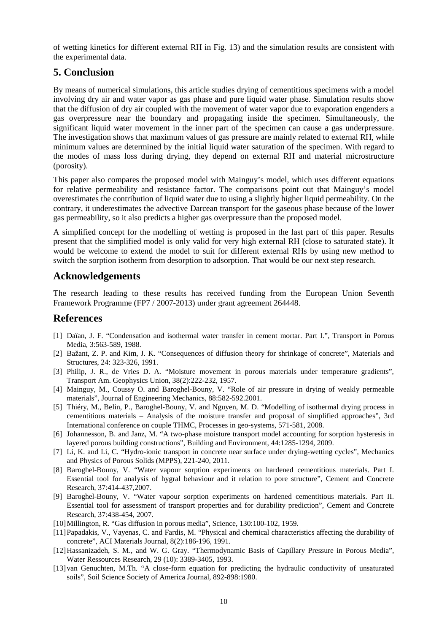of wetting kinetics for different external RH in Fig. 13) and the simulation results are consistent with the experimental data.

# **5. Conclusion**

By means of numerical simulations, this article studies drying of cementitious specimens with a model involving dry air and water vapor as gas phase and pure liquid water phase. Simulation results show that the diffusion of dry air coupled with the movement of water vapor due to evaporation engenders a gas overpressure near the boundary and propagating inside the specimen. Simultaneously, the significant liquid water movement in the inner part of the specimen can cause a gas underpressure. The investigation shows that maximum values of gas pressure are mainly related to external RH, while minimum values are determined by the initial liquid water saturation of the specimen. With regard to the modes of mass loss during drying, they depend on external RH and material microstructure (porosity).

This paper also compares the proposed model with Mainguy's model, which uses different equations for relative permeability and resistance factor. The comparisons point out that Mainguy's model overestimates the contribution of liquid water due to using a slightly higher liquid permeability. On the contrary, it underestimates the advective Darcean transport for the gaseous phase because of the lower gas permeability, so it also predicts a higher gas overpressure than the proposed model.

A simplified concept for the modelling of wetting is proposed in the last part of this paper. Results present that the simplified model is only valid for very high external RH (close to saturated state). It would be welcome to extend the model to suit for different external RHs by using new method to switch the sorption isotherm from desorption to adsorption. That would be our next step research.

# **Acknowledgements**

The research leading to these results has received funding from the European Union Seventh Framework Programme (FP7 / 2007-2013) under grant agreement 264448.

# **References**

- [1] Daïan, J. F. "Condensation and isothermal water transfer in cement mortar. Part I.", Transport in Porous Media, 3:563-589, 1988.
- [2] Bažant, Z. P. and Kim, J. K. "Consequences of diffusion theory for shrinkage of concrete", Materials and Structures, 24: 323-326, 1991.
- [3] Philip, J. R., de Vries D. A. "Moisture movement in porous materials under temperature gradients", Transport Am. Geophysics Union, 38(2):222-232, 1957.
- [4] Mainguy, M., Coussy O. and Baroghel-Bouny, V. "Role of air pressure in drying of weakly permeable materials", Journal of Engineering Mechanics, 88:582-592.2001.
- [5] Thiéry, M., Belin, P., Baroghel-Bouny, V. and Nguyen, M. D. "Modelling of isothermal drying process in cementitious materials – Analysis of the moisture transfer and proposal of simplified approaches", 3rd International conference on couple THMC, Processes in geo-systems, 571-581, 2008.
- [6] Johannesson, B. and Janz, M. "A two-phase moisture transport model accounting for sorption hysteresis in layered porous building constructions", Building and Environment, 44:1285-1294, 2009.
- [7] Li, K. and Li, C. "Hydro-ionic transport in concrete near surface under drying-wetting cycles", Mechanics and Physics of Porous Solids (MPPS), 221-240, 2011.
- [8] Baroghel-Bouny, V. "Water vapour sorption experiments on hardened cementitious materials. Part I. Essential tool for analysis of hygral behaviour and it relation to pore structure", Cement and Concrete Research, 37:414-437,2007.
- [9] Baroghel-Bouny, V. "Water vapour sorption experiments on hardened cementitious materials. Part II. Essential tool for assessment of transport properties and for durability prediction", Cement and Concrete Research, 37:438-454, 2007.
- [10] Millington, R. "Gas diffusion in porous media", Science, 130:100-102, 1959.
- [11]Papadakis, V., Vayenas, C. and Fardis, M. "Physical and chemical characteristics affecting the durability of concrete", ACI Materials Journal, 8(2):186-196, 1991.
- [12]Hassanizadeh, S. M., and W. G. Gray. "Thermodynamic Basis of Capillary Pressure in Porous Media", Water Ressources Research, 29 (10): 3389-3405, 1993.
- [13] van Genuchten, M.Th. "A close-form equation for predicting the hydraulic conductivity of unsaturated soils", Soil Science Society of America Journal, 892-898:1980.